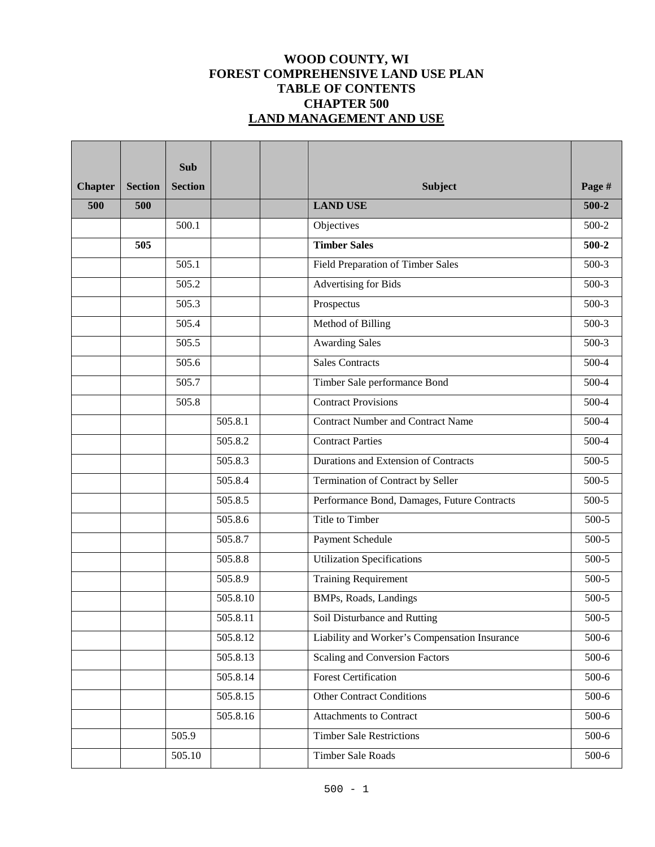# **WOOD COUNTY, WI FOREST COMPREHENSIVE LAND USE PLAN TABLE OF CONTENTS CHAPTER 500 LAND MANAGEMENT AND USE**

|                |                | <b>Sub</b>     |          |                                               |           |
|----------------|----------------|----------------|----------|-----------------------------------------------|-----------|
| <b>Chapter</b> | <b>Section</b> | <b>Section</b> |          | <b>Subject</b>                                | Page #    |
| 500            | 500            |                |          | <b>LAND USE</b>                               | $500 - 2$ |
|                |                | 500.1          |          | Objectives                                    | 500-2     |
|                | 505            |                |          | <b>Timber Sales</b>                           | $500 - 2$ |
|                |                | 505.1          |          | Field Preparation of Timber Sales             | 500-3     |
|                |                | 505.2          |          | <b>Advertising for Bids</b>                   | $500-3$   |
|                |                | 505.3          |          | Prospectus                                    | $500-3$   |
|                |                | 505.4          |          | Method of Billing                             | $500-3$   |
|                |                | 505.5          |          | <b>Awarding Sales</b>                         | 500-3     |
|                |                | 505.6          |          | <b>Sales Contracts</b>                        | 500-4     |
|                |                | 505.7          |          | Timber Sale performance Bond                  | 500-4     |
|                |                | 505.8          |          | <b>Contract Provisions</b>                    | 500-4     |
|                |                |                | 505.8.1  | <b>Contract Number and Contract Name</b>      | 500-4     |
|                |                |                | 505.8.2  | <b>Contract Parties</b>                       | 500-4     |
|                |                |                | 505.8.3  | Durations and Extension of Contracts          | 500-5     |
|                |                |                | 505.8.4  | Termination of Contract by Seller             | 500-5     |
|                |                |                | 505.8.5  | Performance Bond, Damages, Future Contracts   | $500-5$   |
|                |                |                | 505.8.6  | Title to Timber                               | 500-5     |
|                |                |                | 505.8.7  | Payment Schedule                              | 500-5     |
|                |                |                | 505.8.8  | <b>Utilization Specifications</b>             | 500-5     |
|                |                |                | 505.8.9  | <b>Training Requirement</b>                   | 500-5     |
|                |                |                | 505.8.10 | BMPs, Roads, Landings                         | 500-5     |
|                |                |                | 505.8.11 | Soil Disturbance and Rutting                  | 500-5     |
|                |                |                | 505.8.12 | Liability and Worker's Compensation Insurance | $500 - 6$ |
|                |                |                | 505.8.13 | <b>Scaling and Conversion Factors</b>         | $500 - 6$ |
|                |                |                | 505.8.14 | <b>Forest Certification</b>                   | $500 - 6$ |
|                |                |                | 505.8.15 | <b>Other Contract Conditions</b>              | 500-6     |
|                |                |                | 505.8.16 | Attachments to Contract                       | 500-6     |
|                |                | 505.9          |          | <b>Timber Sale Restrictions</b>               | $500 - 6$ |
|                |                | 505.10         |          | <b>Timber Sale Roads</b>                      | $500 - 6$ |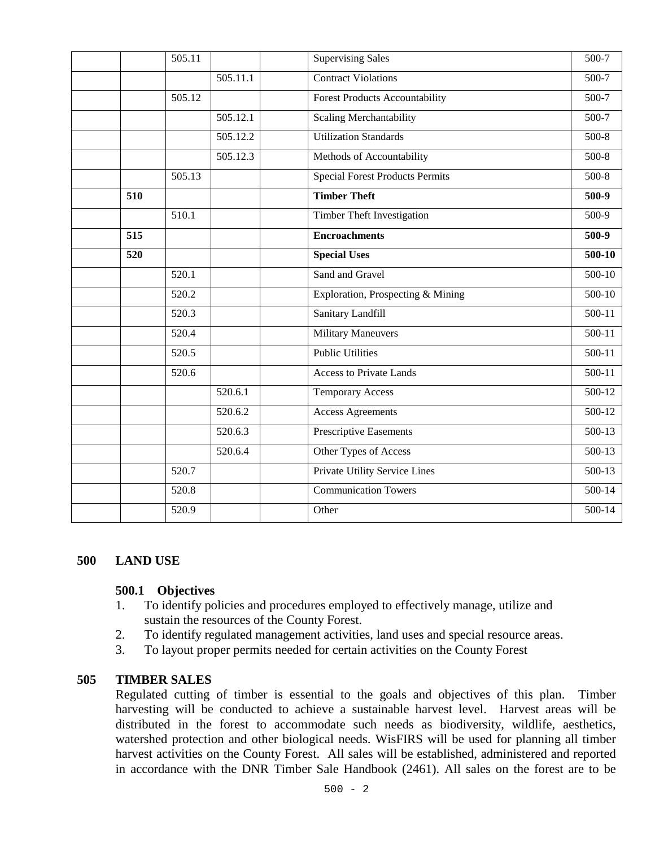|     | 505.11              |          | <b>Supervising Sales</b>               | 500-7      |
|-----|---------------------|----------|----------------------------------------|------------|
|     |                     | 505.11.1 | <b>Contract Violations</b>             | 500-7      |
|     | $\overline{505.12}$ |          | <b>Forest Products Accountability</b>  | $500-7$    |
|     |                     | 505.12.1 | <b>Scaling Merchantability</b>         | 500-7      |
|     |                     | 505.12.2 | <b>Utilization Standards</b>           | $500-8$    |
|     |                     | 505.12.3 | Methods of Accountability              | $500-8$    |
|     | 505.13              |          | <b>Special Forest Products Permits</b> | $500-8$    |
| 510 |                     |          | <b>Timber Theft</b>                    | 500-9      |
|     | 510.1               |          | Timber Theft Investigation             | 500-9      |
| 515 |                     |          | <b>Encroachments</b>                   | 500-9      |
| 520 |                     |          | <b>Special Uses</b>                    | 500-10     |
|     | 520.1               |          | Sand and Gravel                        | $500-10$   |
|     | 520.2               |          | Exploration, Prospecting & Mining      | 500-10     |
|     | 520.3               |          | Sanitary Landfill                      | $500-11$   |
|     | 520.4               |          | <b>Military Maneuvers</b>              | $500-11$   |
|     | 520.5               |          | <b>Public Utilities</b>                | $500 - 11$ |
|     | 520.6               |          | <b>Access to Private Lands</b>         | $500 - 11$ |
|     |                     | 520.6.1  | <b>Temporary Access</b>                | 500-12     |
|     |                     | 520.6.2  | <b>Access Agreements</b>               | 500-12     |
|     |                     | 520.6.3  | <b>Prescriptive Easements</b>          | 500-13     |
|     |                     | 520.6.4  | Other Types of Access                  | 500-13     |
|     | 520.7               |          | Private Utility Service Lines          | $500-13$   |
|     | 520.8               |          | <b>Communication Towers</b>            | $500-14$   |
|     | 520.9               |          | Other                                  | 500-14     |

#### **500 LAND USE**

#### **500.1 Objectives**

- 1. To identify policies and procedures employed to effectively manage, utilize and sustain the resources of the County Forest.
- 2. To identify regulated management activities, land uses and special resource areas.
- 3. To layout proper permits needed for certain activities on the County Forest

### **505 TIMBER SALES**

Regulated cutting of timber is essential to the goals and objectives of this plan. Timber harvesting will be conducted to achieve a sustainable harvest level. Harvest areas will be distributed in the forest to accommodate such needs as biodiversity, wildlife, aesthetics, watershed protection and other biological needs. WisFIRS will be used for planning all timber harvest activities on the County Forest. All sales will be established, administered and reported in accordance with the DNR Timber Sale Handbook (2461). All sales on the forest are to be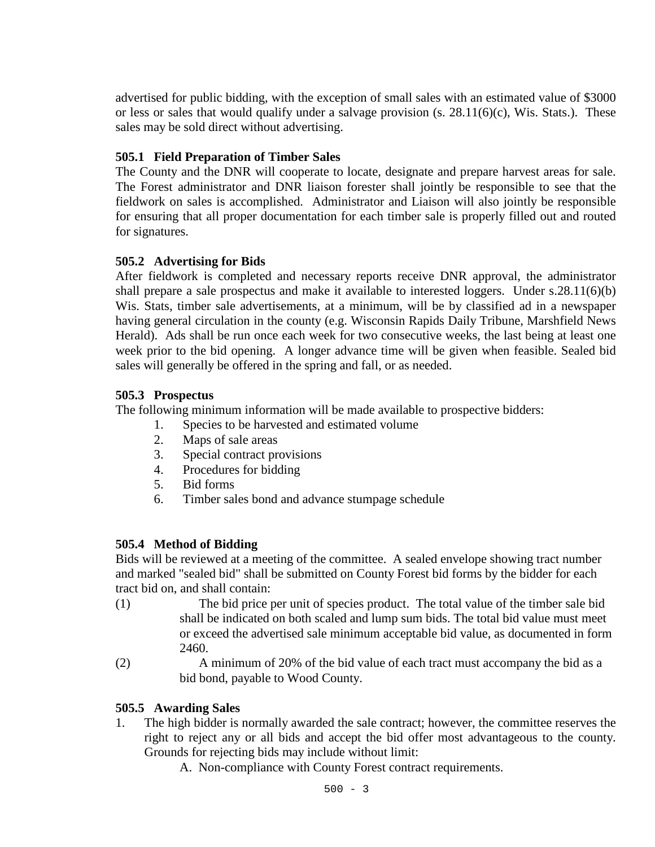advertised for public bidding, with the exception of small sales with an estimated value of \$3000 or less or sales that would qualify under a salvage provision (s. 28.11(6)(c), Wis. Stats.). These sales may be sold direct without advertising.

# **505.1 Field Preparation of Timber Sales**

The County and the DNR will cooperate to locate, designate and prepare harvest areas for sale. The Forest administrator and DNR liaison forester shall jointly be responsible to see that the fieldwork on sales is accomplished. Administrator and Liaison will also jointly be responsible for ensuring that all proper documentation for each timber sale is properly filled out and routed for signatures.

# **505.2 Advertising for Bids**

 After fieldwork is completed and necessary reports receive DNR approval, the administrator shall prepare a sale prospectus and make it available to interested loggers. Under s.28.11(6)(b) Wis. Stats, timber sale advertisements, at a minimum, will be by classified ad in a newspaper having general circulation in the county (e.g. Wisconsin Rapids Daily Tribune, Marshfield News Herald). Ads shall be run once each week for two consecutive weeks, the last being at least one week prior to the bid opening. A longer advance time will be given when feasible. Sealed bid sales will generally be offered in the spring and fall, or as needed.

# **505.3 Prospectus**

The following minimum information will be made available to prospective bidders:

- 1. Species to be harvested and estimated volume
- 2. Maps of sale areas
- 3. Special contract provisions
- 4. Procedures for bidding
- 5. Bid forms
- 6. Timber sales bond and advance stumpage schedule

# **505.4 Method of Bidding**

Bids will be reviewed at a meeting of the committee. A sealed envelope showing tract number and marked "sealed bid" shall be submitted on County Forest bid forms by the bidder for each tract bid on, and shall contain:

- (1) The bid price per unit of species product. The total value of the timber sale bid shall be indicated on both scaled and lump sum bids. The total bid value must meet or exceed the advertised sale minimum acceptable bid value, as documented in form 2460.
- (2) A minimum of 20% of the bid value of each tract must accompany the bid as a bid bond, payable to Wood County.

# **505.5 Awarding Sales**

- 1. The high bidder is normally awarded the sale contract; however, the committee reserves the right to reject any or all bids and accept the bid offer most advantageous to the county. Grounds for rejecting bids may include without limit:
	- A. Non-compliance with County Forest contract requirements.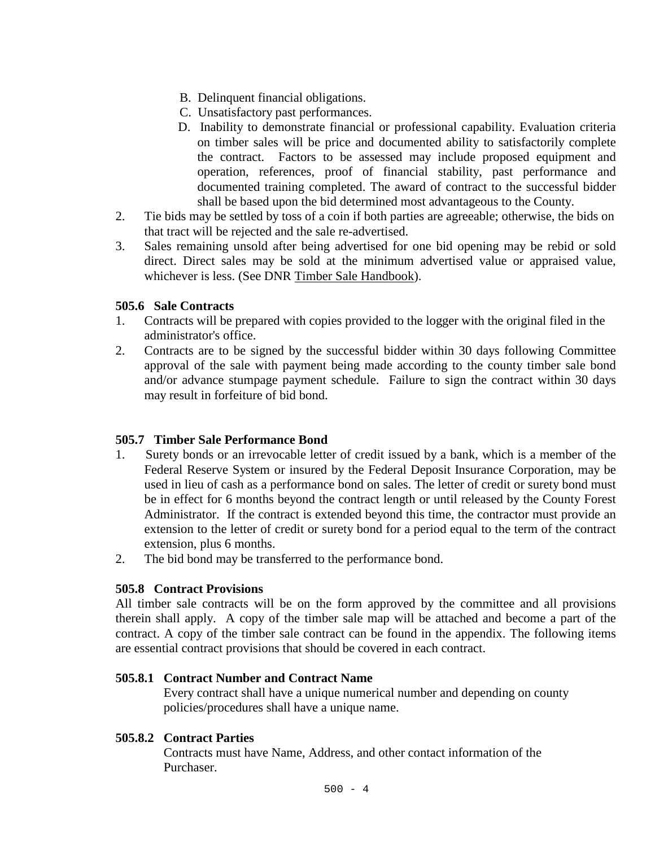- B. Delinquent financial obligations.
- C. Unsatisfactory past performances.
- D. Inability to demonstrate financial or professional capability. Evaluation criteria on timber sales will be price and documented ability to satisfactorily complete the contract. Factors to be assessed may include proposed equipment and operation, references, proof of financial stability, past performance and documented training completed. The award of contract to the successful bidder shall be based upon the bid determined most advantageous to the County.
- 2. Tie bids may be settled by toss of a coin if both parties are agreeable; otherwise, the bids on that tract will be rejected and the sale re-advertised.
- 3. Sales remaining unsold after being advertised for one bid opening may be rebid or sold direct. Direct sales may be sold at the minimum advertised value or appraised value, whichever is less. (See DNR [Timber Sale Handbook\)](https://dnr.wi.gov/topic/TimberSales/documents/2461.pdf).

### **505.6 Sale Contracts**

- 1. Contracts will be prepared with copies provided to the logger with the original filed in the administrator's office.
- 2. Contracts are to be signed by the successful bidder within 30 days following Committee approval of the sale with payment being made according to the county timber sale bond and/or advance stumpage payment schedule. Failure to sign the contract within 30 days may result in forfeiture of bid bond.

# **505.7 Timber Sale Performance Bond**

- 1. Surety bonds or an irrevocable letter of credit issued by a bank, which is a member of the Federal Reserve System or insured by the Federal Deposit Insurance Corporation, may be used in lieu of cash as a performance bond on sales. The letter of credit or surety bond must be in effect for 6 months beyond the contract length or until released by the County Forest Administrator. If the contract is extended beyond this time, the contractor must provide an extension to the letter of credit or surety bond for a period equal to the term of the contract extension, plus 6 months.
- 2. The bid bond may be transferred to the performance bond.

# **505.8 Contract Provisions**

All timber sale contracts will be on the form approved by the committee and all provisions therein shall apply. A copy of the timber sale map will be attached and become a part of the contract. A copy of the timber sale contract can be found in the appendix. The following items are essential contract provisions that should be covered in each contract.

# **505.8.1 Contract Number and Contract Name**

Every contract shall have a unique numerical number and depending on county policies/procedures shall have a unique name.

# **505.8.2 Contract Parties**

Contracts must have Name, Address, and other contact information of the Purchaser.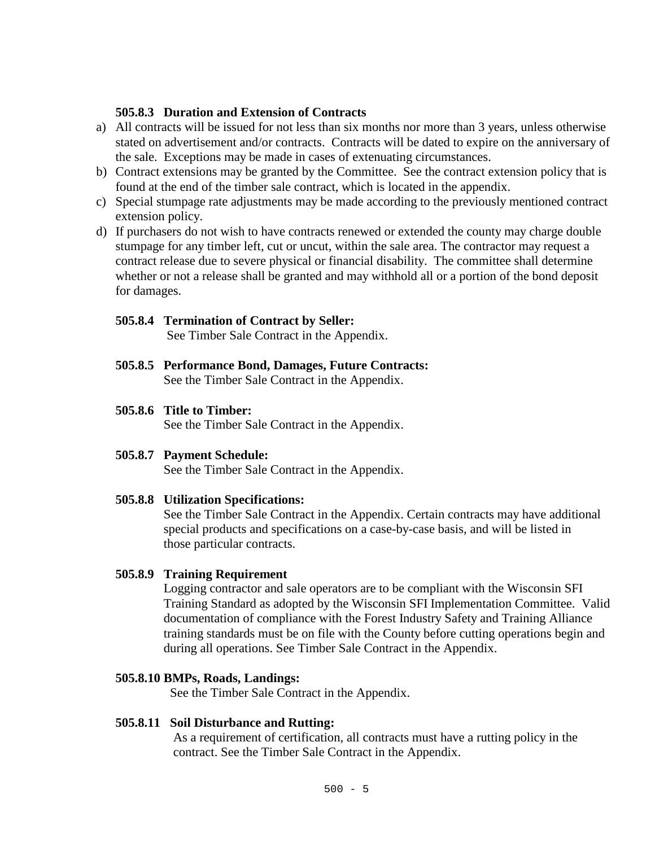### **505.8.3 Duration and Extension of Contracts**

- a) All contracts will be issued for not less than six months nor more than 3 years, unless otherwise stated on advertisement and/or contracts. Contracts will be dated to expire on the anniversary of the sale. Exceptions may be made in cases of extenuating circumstances.
- b) Contract extensions may be granted by the Committee. See the contract extension policy that is found at the end of the timber sale contract, which is located in the appendix.
- c) Special stumpage rate adjustments may be made according to the previously mentioned contract extension policy.
- d) If purchasers do not wish to have contracts renewed or extended the county may charge double stumpage for any timber left, cut or uncut, within the sale area. The contractor may request a contract release due to severe physical or financial disability. The committee shall determine whether or not a release shall be granted and may withhold all or a portion of the bond deposit for damages.

### **505.8.4 Termination of Contract by Seller:**

See Timber Sale Contract in the Appendix.

**505.8.5 Performance Bond, Damages, Future Contracts:** See the Timber Sale Contract in the Appendix.

### **505.8.6 Title to Timber:**

See the Timber Sale Contract in the Appendix.

#### **505.8.7 Payment Schedule:**

See the Timber Sale Contract in the Appendix.

#### **505.8.8 Utilization Specifications:**

See the Timber Sale Contract in the Appendix. Certain contracts may have additional special products and specifications on a case-by-case basis, and will be listed in those particular contracts.

#### **505.8.9 Training Requirement**

Logging contractor and sale operators are to be compliant with the Wisconsin SFI Training Standard as adopted by the Wisconsin SFI Implementation Committee. Valid documentation of compliance with the Forest Industry Safety and Training Alliance training standards must be on file with the County before cutting operations begin and during all operations. See Timber Sale Contract in the Appendix.

#### **505.8.10 BMPs, Roads, Landings:**

See the Timber Sale Contract in the Appendix.

#### **505.8.11 Soil Disturbance and Rutting:**

As a requirement of certification, all contracts must have a rutting policy in the contract. See the Timber Sale Contract in the Appendix.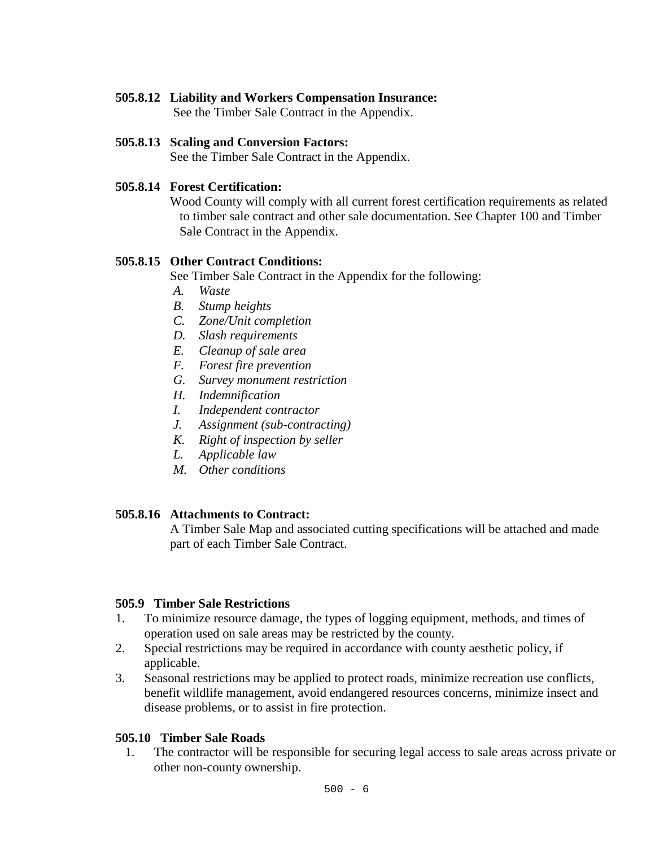### **505.8.12 Liability and Workers Compensation Insurance:**

See the Timber Sale Contract in the Appendix.

#### **505.8.13 Scaling and Conversion Factors:**

See the Timber Sale Contract in the Appendix.

### **505.8.14 Forest Certification:**

 Wood County will comply with all current forest certification requirements as related to timber sale contract and other sale documentation. See Chapter 100 and Timber Sale Contract in the Appendix.

### **505.8.15 Other Contract Conditions:**

See Timber Sale Contract in the Appendix for the following:

- *A. Waste*
- *B. Stump heights*
- *C. Zone/Unit completion*
- *D. Slash requirements*
- *E. Cleanup of sale area*
- *F. Forest fire prevention*
- *G. Survey monument restriction*
- *H. Indemnification*
- *I. Independent contractor*
- *J. Assignment (sub-contracting)*
- *K. Right of inspection by seller*
- *L. Applicable law*
- *M. Other conditions*

#### **505.8.16 Attachments to Contract:**

 A Timber Sale Map and associated cutting specifications will be attached and made part of each Timber Sale Contract.

#### **505.9 Timber Sale Restrictions**

- 1. To minimize resource damage, the types of logging equipment, methods, and times of operation used on sale areas may be restricted by the county.
- 2. Special restrictions may be required in accordance with county aesthetic policy, if applicable.
- 3. Seasonal restrictions may be applied to protect roads, minimize recreation use conflicts, benefit wildlife management, avoid endangered resources concerns, minimize insect and disease problems, or to assist in fire protection.

### **505.10 Timber Sale Roads**

1. The contractor will be responsible for securing legal access to sale areas across private or other non-county ownership.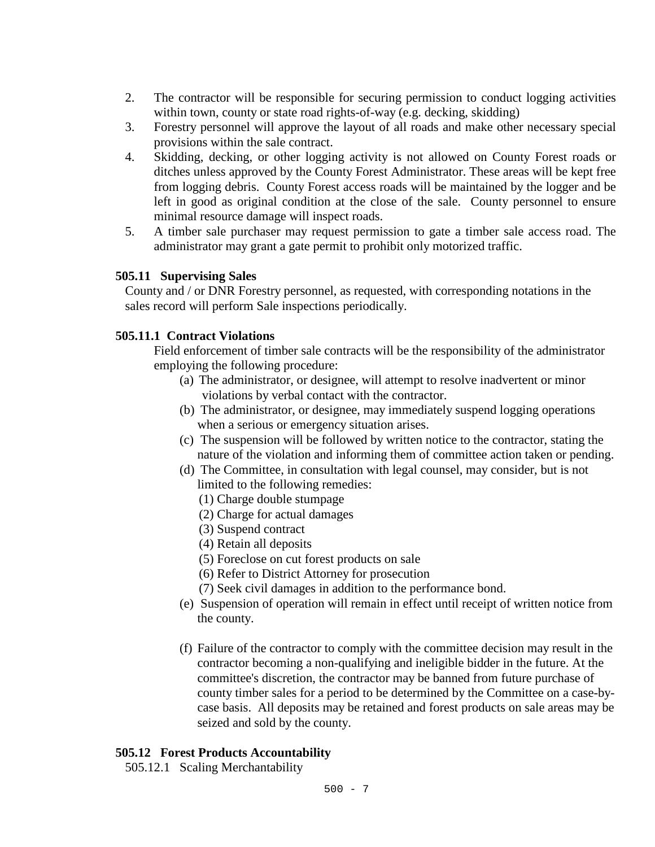- 2. The contractor will be responsible for securing permission to conduct logging activities within town, county or state road rights-of-way (e.g. decking, skidding)
- 3. Forestry personnel will approve the layout of all roads and make other necessary special provisions within the sale contract.
- 4. Skidding, decking, or other logging activity is not allowed on County Forest roads or ditches unless approved by the County Forest Administrator. These areas will be kept free from logging debris. County Forest access roads will be maintained by the logger and be left in good as original condition at the close of the sale. County personnel to ensure minimal resource damage will inspect roads.
- 5. A timber sale purchaser may request permission to gate a timber sale access road. The administrator may grant a gate permit to prohibit only motorized traffic.

# **505.11 Supervising Sales**

 County and / or DNR Forestry personnel, as requested, with corresponding notations in the sales record will perform Sale inspections periodically.

# **505.11.1 Contract Violations**

Field enforcement of timber sale contracts will be the responsibility of the administrator employing the following procedure:

- (a) The administrator, or designee, will attempt to resolve inadvertent or minor violations by verbal contact with the contractor.
- (b) The administrator, or designee, may immediately suspend logging operations when a serious or emergency situation arises.
- (c) The suspension will be followed by written notice to the contractor, stating the nature of the violation and informing them of committee action taken or pending.
- (d) The Committee, in consultation with legal counsel, may consider, but is not limited to the following remedies:
	- (1) Charge double stumpage
	- (2) Charge for actual damages
	- (3) Suspend contract
	- (4) Retain all deposits
	- (5) Foreclose on cut forest products on sale
	- (6) Refer to District Attorney for prosecution
	- (7) Seek civil damages in addition to the performance bond.
- (e) Suspension of operation will remain in effect until receipt of written notice from the county.
- (f) Failure of the contractor to comply with the committee decision may result in the contractor becoming a non-qualifying and ineligible bidder in the future. At the committee's discretion, the contractor may be banned from future purchase of county timber sales for a period to be determined by the Committee on a case-bycase basis. All deposits may be retained and forest products on sale areas may be seized and sold by the county.

# **505.12 Forest Products Accountability**

505.12.1Scaling Merchantability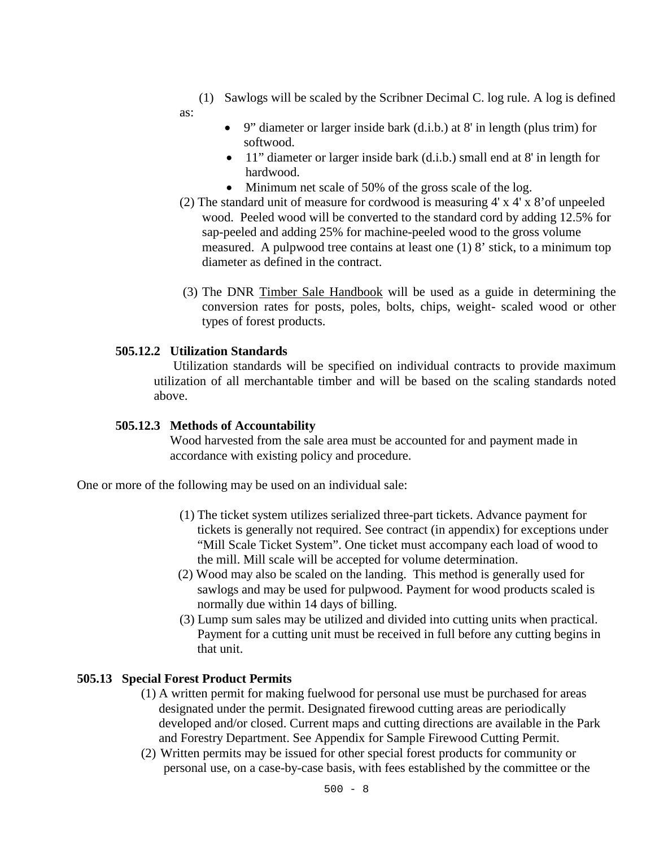(1) Sawlogs will be scaled by the Scribner Decimal C. log rule. A log is defined

as:

- 9" diameter or larger inside bark  $(d.i.b.)$  at 8' in length (plus trim) for softwood.
- 11" diameter or larger inside bark (d.i.b.) small end at 8' in length for hardwood.
- Minimum net scale of 50% of the gross scale of the log.
- (2) The standard unit of measure for cordwood is measuring 4' x 4' x 8'of unpeeled wood. Peeled wood will be converted to the standard cord by adding 12.5% for sap-peeled and adding 25% for machine-peeled wood to the gross volume measured. A pulpwood tree contains at least one (1) 8' stick, to a minimum top diameter as defined in the contract.
- (3) The DNR [Timber Sale Handbook](https://dnr.wi.gov/topic/TimberSales/documents/2461.pdf) will be used as a guide in determining the conversion rates for posts, poles, bolts, chips, weight- scaled wood or other types of forest products.

### **505.12.2 Utilization Standards**

Utilization standards will be specified on individual contracts to provide maximum utilization of all merchantable timber and will be based on the scaling standards noted above.

### **505.12.3 Methods of Accountability**

 Wood harvested from the sale area must be accounted for and payment made in accordance with existing policy and procedure.

One or more of the following may be used on an individual sale:

- (1) The ticket system utilizes serialized three-part tickets. Advance payment for tickets is generally not required. See contract (in appendix) for exceptions under "Mill Scale Ticket System". One ticket must accompany each load of wood to the mill. Mill scale will be accepted for volume determination.
- (2) Wood may also be scaled on the landing. This method is generally used for sawlogs and may be used for pulpwood. Payment for wood products scaled is normally due within 14 days of billing.
- (3) Lump sum sales may be utilized and divided into cutting units when practical. Payment for a cutting unit must be received in full before any cutting begins in that unit.

# **505.13 Special Forest Product Permits**

- (1) A written permit for making fuelwood for personal use must be purchased for areas designated under the permit. Designated firewood cutting areas are periodically developed and/or closed. Current maps and cutting directions are available in the Park and Forestry Department. See Appendix for Sample Firewood Cutting Permit.
- (2) Written permits may be issued for other special forest products for community or personal use, on a case-by-case basis, with fees established by the committee or the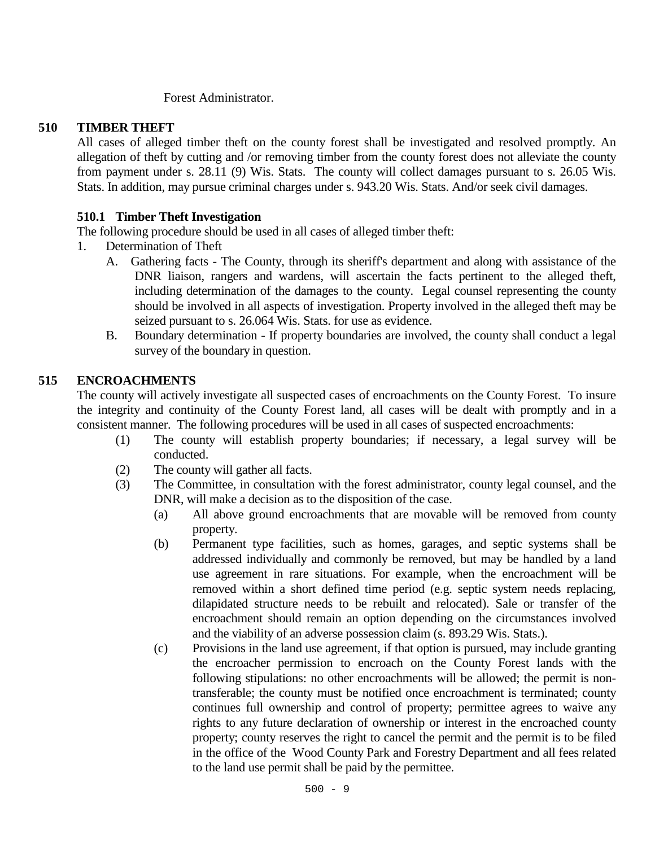Forest Administrator.

### **510 TIMBER THEFT**

All cases of alleged timber theft on the county forest shall be investigated and resolved promptly. An allegation of theft by cutting and /or removing timber from the county forest does not alleviate the county from payment under s. 28.11 (9) Wis. Stats. The county will collect damages pursuant to s. 26.05 Wis. Stats. In addition, may pursue criminal charges under s. 943.20 Wis. Stats. And/or seek civil damages.

### **510.1 Timber Theft Investigation**

The following procedure should be used in all cases of alleged timber theft:

- 1. Determination of Theft
	- A. Gathering facts The County, through its sheriff's department and along with assistance of the DNR liaison, rangers and wardens, will ascertain the facts pertinent to the alleged theft, including determination of the damages to the county. Legal counsel representing the county should be involved in all aspects of investigation. Property involved in the alleged theft may be seized pursuant to s. 26.064 Wis. Stats. for use as evidence.
	- B. Boundary determination If property boundaries are involved, the county shall conduct a legal survey of the boundary in question.

### **515 ENCROACHMENTS**

The county will actively investigate all suspected cases of encroachments on the County Forest. To insure the integrity and continuity of the County Forest land, all cases will be dealt with promptly and in a consistent manner. The following procedures will be used in all cases of suspected encroachments:

- (1) The county will establish property boundaries; if necessary, a legal survey will be conducted.
- (2) The county will gather all facts.
- (3) The Committee, in consultation with the forest administrator, county legal counsel, and the DNR, will make a decision as to the disposition of the case.
	- (a) All above ground encroachments that are movable will be removed from county property.
	- (b) Permanent type facilities, such as homes, garages, and septic systems shall be addressed individually and commonly be removed, but may be handled by a land use agreement in rare situations. For example, when the encroachment will be removed within a short defined time period (e.g. septic system needs replacing, dilapidated structure needs to be rebuilt and relocated). Sale or transfer of the encroachment should remain an option depending on the circumstances involved and the viability of an adverse possession claim (s. 893.29 Wis. Stats.).
	- (c) Provisions in the land use agreement, if that option is pursued, may include granting the encroacher permission to encroach on the County Forest lands with the following stipulations: no other encroachments will be allowed; the permit is nontransferable; the county must be notified once encroachment is terminated; county continues full ownership and control of property; permittee agrees to waive any rights to any future declaration of ownership or interest in the encroached county property; county reserves the right to cancel the permit and the permit is to be filed in the office of the Wood County Park and Forestry Department and all fees related to the land use permit shall be paid by the permittee.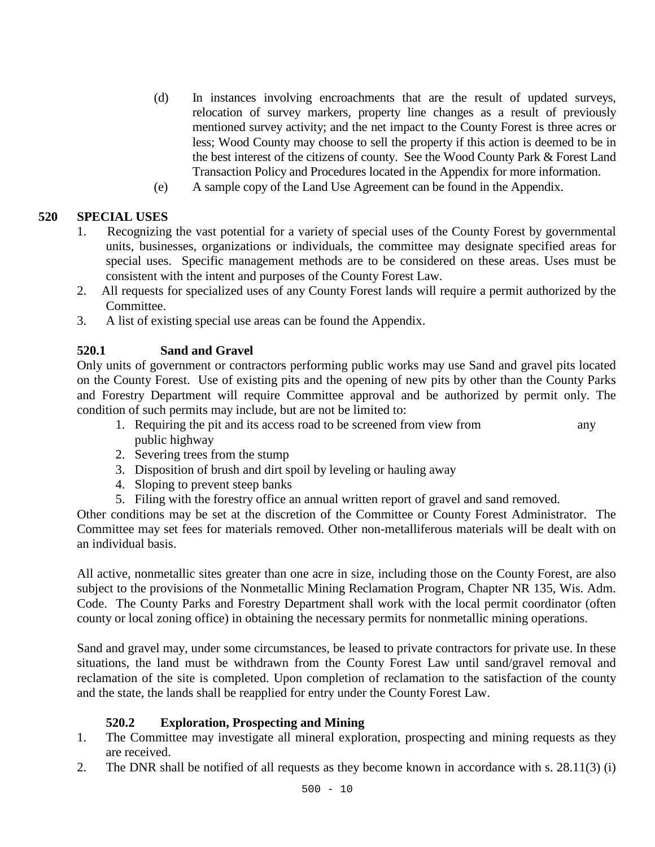- (d) In instances involving encroachments that are the result of updated surveys, relocation of survey markers, property line changes as a result of previously mentioned survey activity; and the net impact to the County Forest is three acres or less; Wood County may choose to sell the property if this action is deemed to be in the best interest of the citizens of county. See the Wood County Park & Forest Land Transaction Policy and Procedures located in the Appendix for more information.
- (e) A sample copy of the Land Use Agreement can be found in the Appendix.

# **520 SPECIAL USES**

- 1. Recognizing the vast potential for a variety of special uses of the County Forest by governmental units, businesses, organizations or individuals, the committee may designate specified areas for special uses. Specific management methods are to be considered on these areas. Uses must be consistent with the intent and purposes of the County Forest Law.
- 2. All requests for specialized uses of any County Forest lands will require a permit authorized by the Committee.
- 3. A list of existing special use areas can be found the Appendix.

# **520.1 Sand and Gravel**

Only units of government or contractors performing public works may use Sand and gravel pits located on the County Forest. Use of existing pits and the opening of new pits by other than the County Parks and Forestry Department will require Committee approval and be authorized by permit only. The condition of such permits may include, but are not be limited to:

- 1. Requiring the pit and its access road to be screened from view from any public highway
- 2. Severing trees from the stump
- 3. Disposition of brush and dirt spoil by leveling or hauling away
- 4. Sloping to prevent steep banks
- 5. Filing with the forestry office an annual written report of gravel and sand removed.

Other conditions may be set at the discretion of the Committee or County Forest Administrator. The Committee may set fees for materials removed. Other non-metalliferous materials will be dealt with on an individual basis.

All active, nonmetallic sites greater than one acre in size, including those on the County Forest, are also subject to the provisions of the Nonmetallic Mining Reclamation Program, Chapter NR 135, Wis. Adm. Code. The County Parks and Forestry Department shall work with the local permit coordinator (often county or local zoning office) in obtaining the necessary permits for nonmetallic mining operations.

Sand and gravel may, under some circumstances, be leased to private contractors for private use. In these situations, the land must be withdrawn from the County Forest Law until sand/gravel removal and reclamation of the site is completed. Upon completion of reclamation to the satisfaction of the county and the state, the lands shall be reapplied for entry under the County Forest Law.

# **520.2 Exploration, Prospecting and Mining**

- 1. The Committee may investigate all mineral exploration, prospecting and mining requests as they are received.
- 2. The DNR shall be notified of all requests as they become known in accordance with s. 28.11(3) (i)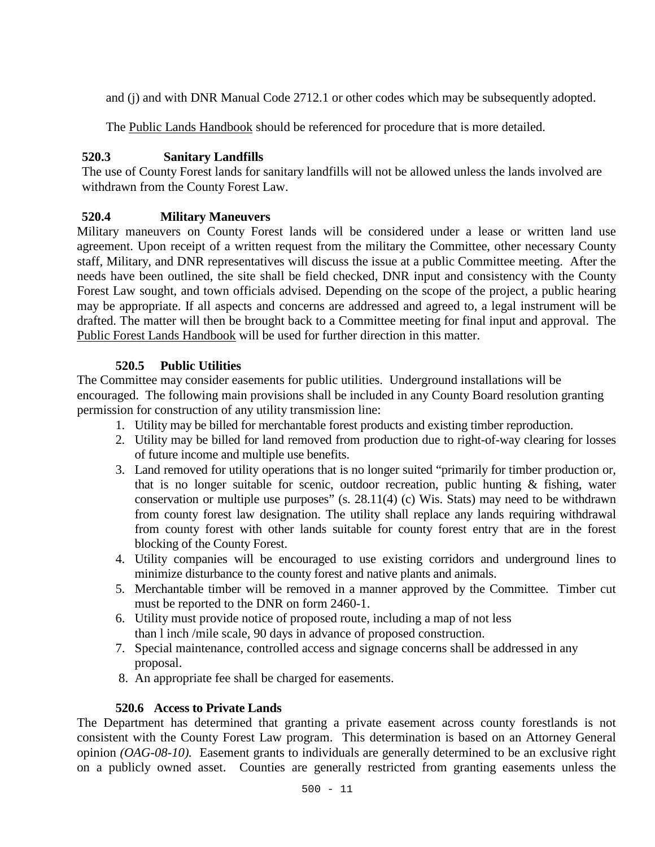and (j) and with DNR Manual Code 2712.1 or other codes which may be subsequently adopted.

The [Public Lands Handbook](https://dnr.wi.gov/topic/ForestManagement/documents/24605.pdf) should be referenced for procedure that is more detailed.

# **520.3 Sanitary Landfills**

The use of County Forest lands for sanitary landfills will not be allowed unless the lands involved are withdrawn from the County Forest Law.

# **520.4 Military Maneuvers**

Military maneuvers on County Forest lands will be considered under a lease or written land use agreement. Upon receipt of a written request from the military the Committee, other necessary County staff, Military, and DNR representatives will discuss the issue at a public Committee meeting. After the needs have been outlined, the site shall be field checked, DNR input and consistency with the County Forest Law sought, and town officials advised. Depending on the scope of the project, a public hearing may be appropriate. If all aspects and concerns are addressed and agreed to, a legal instrument will be drafted. The matter will then be brought back to a Committee meeting for final input and approval. The [Public Forest Lands Handbook](https://dnr.wi.gov/topic/ForestManagement/documents/24605.pdf) will be used for further direction in this matter.

# **520.5 Public Utilities**

The Committee may consider easements for public utilities. Underground installations will be encouraged. The following main provisions shall be included in any County Board resolution granting permission for construction of any utility transmission line:

- 1. Utility may be billed for merchantable forest products and existing timber reproduction.
- 2. Utility may be billed for land removed from production due to right-of-way clearing for losses of future income and multiple use benefits.
- 3. Land removed for utility operations that is no longer suited "primarily for timber production or, that is no longer suitable for scenic, outdoor recreation, public hunting  $\&$  fishing, water conservation or multiple use purposes" (s. 28.11(4) (c) Wis. Stats) may need to be withdrawn from county forest law designation. The utility shall replace any lands requiring withdrawal from county forest with other lands suitable for county forest entry that are in the forest blocking of the County Forest.
- 4. Utility companies will be encouraged to use existing corridors and underground lines to minimize disturbance to the county forest and native plants and animals.
- 5. Merchantable timber will be removed in a manner approved by the Committee. Timber cut must be reported to the DNR on form 2460-1.
- 6. Utility must provide notice of proposed route, including a map of not less than l inch /mile scale, 90 days in advance of proposed construction.
- 7. Special maintenance, controlled access and signage concerns shall be addressed in any proposal.
- 8. An appropriate fee shall be charged for easements.

# **520.6 Access to Private Lands**

The Department has determined that granting a private easement across county forestlands is not consistent with the County Forest Law program. This determination is based on an Attorney General opinion *(OAG-08-10).* Easement grants to individuals are generally determined to be an exclusive right on a publicly owned asset. Counties are generally restricted from granting easements unless the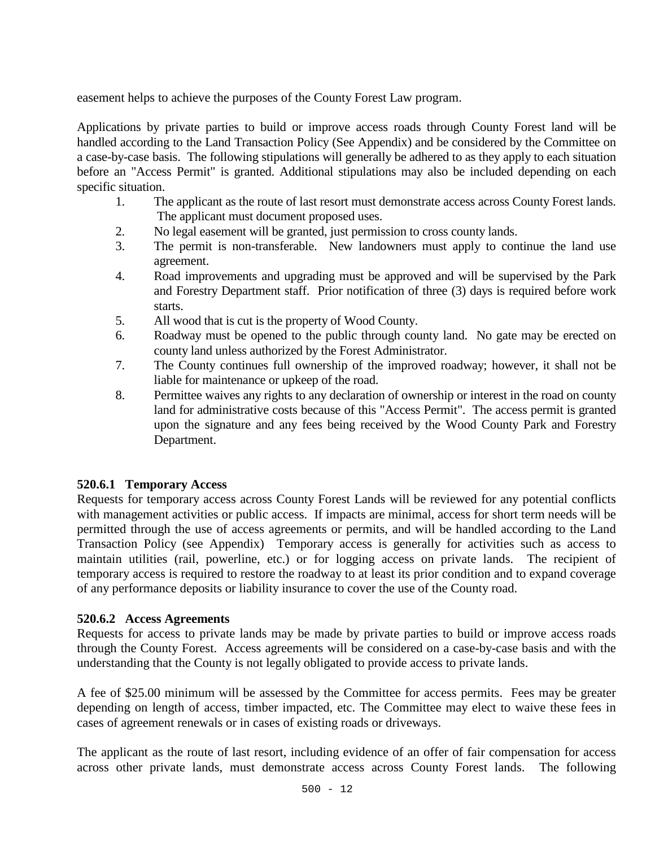easement helps to achieve the purposes of the County Forest Law program.

Applications by private parties to build or improve access roads through County Forest land will be handled according to the Land Transaction Policy (See Appendix) and be considered by the Committee on a case-by-case basis. The following stipulations will generally be adhered to as they apply to each situation before an "Access Permit" is granted. Additional stipulations may also be included depending on each specific situation.

- 1. The applicant as the route of last resort must demonstrate access across County Forest lands. The applicant must document proposed uses.
- 2. No legal easement will be granted, just permission to cross county lands.
- 3. The permit is non-transferable. New landowners must apply to continue the land use agreement.
- 4. Road improvements and upgrading must be approved and will be supervised by the Park and Forestry Department staff. Prior notification of three (3) days is required before work starts.
- 5. All wood that is cut is the property of Wood County.
- 6. Roadway must be opened to the public through county land. No gate may be erected on county land unless authorized by the Forest Administrator.
- 7. The County continues full ownership of the improved roadway; however, it shall not be liable for maintenance or upkeep of the road.
- 8. Permittee waives any rights to any declaration of ownership or interest in the road on county land for administrative costs because of this "Access Permit". The access permit is granted upon the signature and any fees being received by the Wood County Park and Forestry Department.

# **520.6.1 Temporary Access**

Requests for temporary access across County Forest Lands will be reviewed for any potential conflicts with management activities or public access. If impacts are minimal, access for short term needs will be permitted through the use of access agreements or permits, and will be handled according to the Land Transaction Policy (see Appendix) Temporary access is generally for activities such as access to maintain utilities (rail, powerline, etc.) or for logging access on private lands. The recipient of temporary access is required to restore the roadway to at least its prior condition and to expand coverage of any performance deposits or liability insurance to cover the use of the County road.

# **520.6.2 Access Agreements**

Requests for access to private lands may be made by private parties to build or improve access roads through the County Forest. Access agreements will be considered on a case-by-case basis and with the understanding that the County is not legally obligated to provide access to private lands.

A fee of \$25.00 minimum will be assessed by the Committee for access permits. Fees may be greater depending on length of access, timber impacted, etc. The Committee may elect to waive these fees in cases of agreement renewals or in cases of existing roads or driveways.

The applicant as the route of last resort, including evidence of an offer of fair compensation for access across other private lands, must demonstrate access across County Forest lands. The following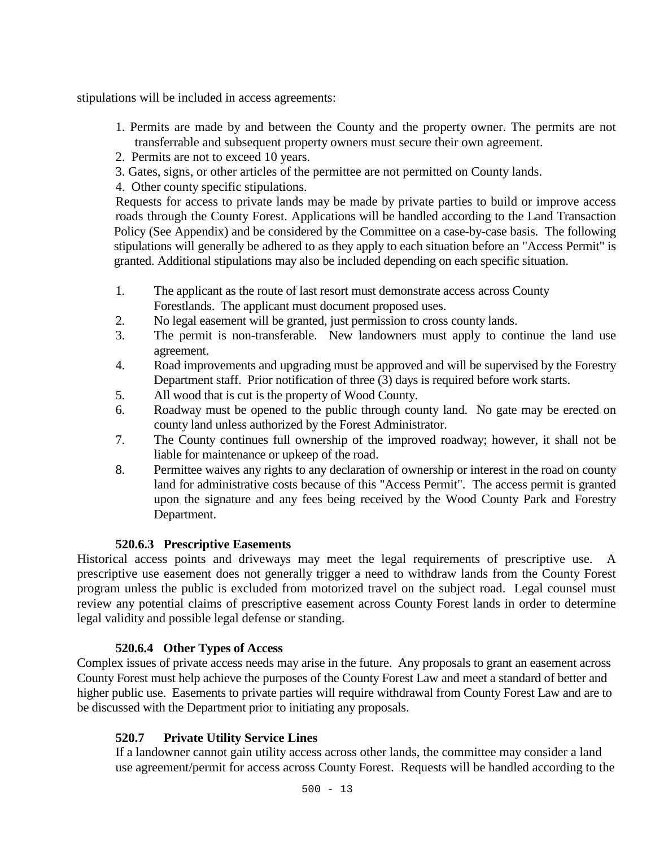stipulations will be included in access agreements:

- 1. Permits are made by and between the County and the property owner. The permits are not transferrable and subsequent property owners must secure their own agreement.
- 2. Permits are not to exceed 10 years.
- 3. Gates, signs, or other articles of the permittee are not permitted on County lands.
- 4. Other county specific stipulations.

Requests for access to private lands may be made by private parties to build or improve access roads through the County Forest. Applications will be handled according to the Land Transaction Policy (See Appendix) and be considered by the Committee on a case-by-case basis. The following stipulations will generally be adhered to as they apply to each situation before an "Access Permit" is granted. Additional stipulations may also be included depending on each specific situation.

- 1. The applicant as the route of last resort must demonstrate access across County Forestlands. The applicant must document proposed uses.
- 2. No legal easement will be granted, just permission to cross county lands.
- 3. The permit is non-transferable. New landowners must apply to continue the land use agreement.
- 4. Road improvements and upgrading must be approved and will be supervised by the Forestry Department staff. Prior notification of three (3) days is required before work starts.
- 5. All wood that is cut is the property of Wood County.
- 6. Roadway must be opened to the public through county land. No gate may be erected on county land unless authorized by the Forest Administrator.
- 7. The County continues full ownership of the improved roadway; however, it shall not be liable for maintenance or upkeep of the road.
- 8. Permittee waives any rights to any declaration of ownership or interest in the road on county land for administrative costs because of this "Access Permit". The access permit is granted upon the signature and any fees being received by the Wood County Park and Forestry Department.

# **520.6.3 Prescriptive Easements**

Historical access points and driveways may meet the legal requirements of prescriptive use. A prescriptive use easement does not generally trigger a need to withdraw lands from the County Forest program unless the public is excluded from motorized travel on the subject road. Legal counsel must review any potential claims of prescriptive easement across County Forest lands in order to determine legal validity and possible legal defense or standing.

# **520.6.4 Other Types of Access**

Complex issues of private access needs may arise in the future. Any proposals to grant an easement across County Forest must help achieve the purposes of the County Forest Law and meet a standard of better and higher public use. Easements to private parties will require withdrawal from County Forest Law and are to be discussed with the Department prior to initiating any proposals.

# **520.7 Private Utility Service Lines**

If a landowner cannot gain utility access across other lands, the committee may consider a land use agreement/permit for access across County Forest. Requests will be handled according to the